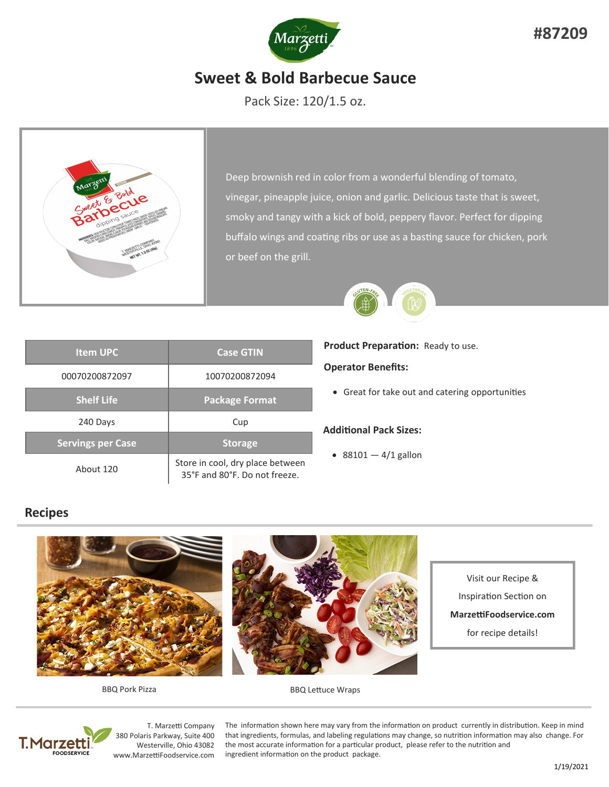

# **Sweet & Bold Barbecue Sauce**

Pack Size: 120/1.5 oz.



Deep brownish red in color from a wonderful blending of tomato, vinegar, pineapple juice, onion and garlic. Delicious taste that is sweet, smoky and tangy with a kick of bold, peppery flavor. Perfect for dipping buffalo wings and coating ribs or use as a basting sauce for chicken, pork or beef on the grill.



| <b>Item UPC</b>          | <b>Case GTIN</b>                                                  |
|--------------------------|-------------------------------------------------------------------|
| 00070200872097           | 10070200872094                                                    |
| <b>Shelf Life</b>        | <b>Package Format</b>                                             |
| 240 Days                 | Cup                                                               |
| <b>Servings per Case</b> | <b>Storage</b>                                                    |
| About 120                | Store in cool, dry place between<br>35°F and 80°F. Do not freeze. |

### **Product Preparation:** Ready to use.

#### **Operator Benefits:**

• Great for take out and catering opportunities

#### **Additional Pack Sizes:**

•  $88101 - 4/1$  gallon

### **Recipes**



BBQ Pork Pizza **BBQ** Lettuce Wraps



T. Marzetti Company 380 Polaris Parkway, Suite 400 Westerville, Ohio 43082 www.MarzettiFoodservice.com

The information shown here may vary from the information on product currently in distribution. Keep in mind that ingredients, formulas, and labeling regulations may change, so nutrition information may also change. For the most accurate information for a particular product, please refer to the nutrition and ingredient information on the product package.

**#87209**